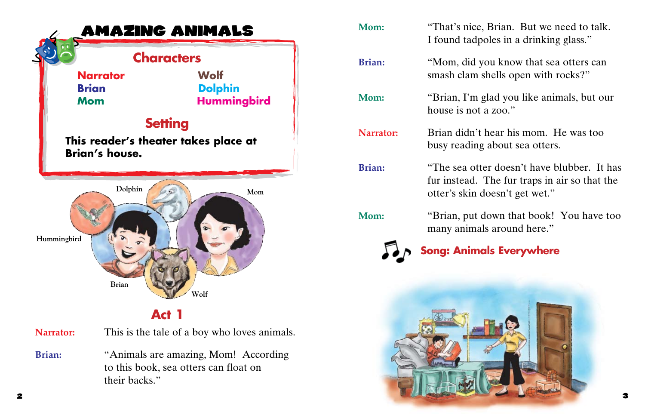

**Act 1**

| <b>Narrator:</b> | This is the tale of a boy who loves animals.                                                   |
|------------------|------------------------------------------------------------------------------------------------|
| <b>Brian:</b>    | "Animals are amazing, Mom! According<br>to this book, sea otters can float on<br>their backs." |

| Mom:                            | "That's nice, Brian. But we need to talk.<br>I found tadpoles in a drinking glass."                                            |  |
|---------------------------------|--------------------------------------------------------------------------------------------------------------------------------|--|
| <b>Brian:</b>                   | "Mom, did you know that sea otters can<br>smash clam shells open with rocks?"                                                  |  |
| Mom:                            | "Brian, I'm glad you like animals, but our<br>house is not a zoo."                                                             |  |
| Narrator:                       | Brian didn't hear his mom. He was too<br>busy reading about sea otters.                                                        |  |
| <b>Brian:</b>                   | "The sea otter doesn't have blubber. It has<br>fur instead. The fur traps in air so that the<br>otter's skin doesn't get wet." |  |
| Mom:                            | "Brian, put down that book! You have too<br>many animals around here."                                                         |  |
| <b>Song: Animals Everywhere</b> |                                                                                                                                |  |
|                                 |                                                                                                                                |  |
|                                 |                                                                                                                                |  |